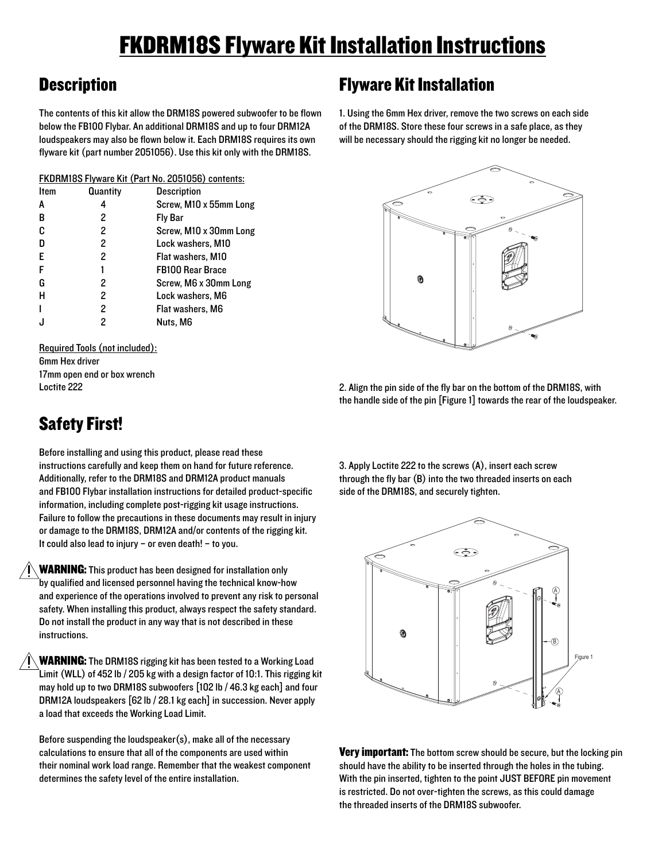## FKDRM18S Flyware Kit Installation Instructions

## **Description**

The contents of this kit allow the DRM18S powered subwoofer to be flown below the FB100 Flybar. An additional DRM18S and up to four DRM12A loudspeakers may also be flown below it. Each DRM18S requires its own flyware kit (part number 2051056). Use this kit only with the DRM18S.

| FKDRM18S Flyware Kit (Part No. 2051056) contents: |          |                         |
|---------------------------------------------------|----------|-------------------------|
| <b>Item</b>                                       | Quantity | <b>Description</b>      |
| A                                                 | 4        | Screw, M10 x 55mm Long  |
| В                                                 | 2        | Fly Bar                 |
| c                                                 | 2        | Screw, M10 x 30mm Long  |
| n                                                 | 2        | Lock washers, M10       |
| E                                                 | 2        | Flat washers, M10       |
| F                                                 | 1        | <b>FB100 Rear Brace</b> |
| G                                                 | 2        | Screw, M6 x 30mm Long   |
| н                                                 | 2        | Lock washers, M6        |
|                                                   | 2        | Flat washers, M6        |
|                                                   | 2        | Nuts. M6                |

Required Tools (not included): 6mm Hex driver 17mm open end or box wrench Loctite 222

## Flyware Kit Installation

1. Using the 6mm Hex driver, remove the two screws on each side of the DRM18S. Store these four screws in a safe place, as they will be necessary should the rigging kit no longer be needed.



2. Align the pin side of the fly bar on the bottom of the DRM18S, with the handle side of the pin [Figure 1] towards the rear of the loudspeaker.

Safety First!

Before installing and using this product, please read these instructions carefully and keep them on hand for future reference. Additionally, refer to the DRM18S and DRM12A product manuals and FB100 Flybar installation instructions for detailed product-specific information, including complete post-rigging kit usage instructions. Failure to follow the precautions in these documents may result in injury or damage to the DRM18S, DRM12A and/or contents of the rigging kit. It could also lead to injury – or even death! – to you.

WARNING: This product has been designed for installation only by qualified and licensed personnel having the technical know-how and experience of the operations involved to prevent any risk to personal safety. When installing this product, always respect the safety standard. Do not install the product in any way that is not described in these instructions.

WARNING: The DRM18S rigging kit has been tested to a Working Load Limit (WLL) of 452 lb / 205 kg with a design factor of 10:1. This rigging kit may hold up to two DRM18S subwoofers [102 lb / 46.3 kg each] and four DRM12A loudspeakers [62 lb / 28.1 kg each] in succession. Never apply a load that exceeds the Working Load Limit.

Before suspending the loudspeaker(s), make all of the necessary calculations to ensure that all of the components are used within their nominal work load range. Remember that the weakest component determines the safety level of the entire installation.

3. Apply Loctite 222 to the screws (A), insert each screw through the fly bar (B) into the two threaded inserts on each side of the DRM18S, and securely tighten.



Very important: The bottom screw should be secure, but the locking pin should have the ability to be inserted through the holes in the tubing. With the pin inserted, tighten to the point JUST BEFORE pin movement is restricted. Do not over-tighten the screws, as this could damage the threaded inserts of the DRM18S subwoofer.